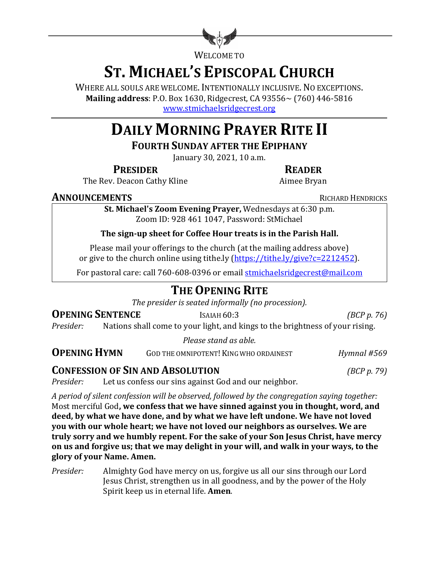

WELCOME TO

# **ST. MICHAEL'S EPISCOPAL CHURCH**

WHERE ALL SOULS ARE WELCOME. INTENTIONALLY INCLUSIVE. NO EXCEPTIONS. **Mailing address**: P.O. Box 1630, Ridgecrest, CA 93556~ (760) 446-5816 www.stmichaelsridgecrest.org

# **DAILY MORNING PRAYER RITE II**

**FOURTH SUNDAY AFTER THE EPIPHANY** 

January 30, 2021, 10 a.m.

### **PRESIDER READER**

The Rev. Deacon Cathy Kline **Aimee** Bryan

### **ANNOUNCEMENTS** RICHARD HENDRICKS

**St. Michael's Zoom Evening Prayer, Wednesdays at 6:30 p.m.** Zoom ID: 928 461 1047, Password: StMichael

### The sign-up sheet for Coffee Hour treats is in the Parish Hall.

Please mail your offerings to the church (at the mailing address above) or give to the church online using tithe.ly  $(https://tithe.ly/give?c=2212452)$ .

For pastoral care: call 760-608-0396 or email stmichaelsridgecrest@mail.com

# **THE OPENING RITE**

The presider is seated informally (no procession).

### **OPENING SENTENCE** ISAIAH 60:3 *(BCP p. 76)*

*Presider:* Nations shall come to your light, and kings to the brightness of your rising.

*Please stand as able.*

**OPENING HYMN** GOD THE OMNIPOTENT! KING WHO ORDAINEST *Hymnal* #569

### **CONFESSION OF SIN AND ABSOLUTION** *(BCP p. 79)*

*Presider:* Let us confess our sins against God and our neighbor.

*A period of silent confession will be observed, followed by the congregation saying together:* Most merciful God, we confess that we have sinned against you in thought, word, and deed, by what we have done, and by what we have left undone. We have not loved **you** with our whole heart; we have not loved our neighbors as ourselves. We are truly sorry and we humbly repent. For the sake of your Son Jesus Christ, have mercy on us and forgive us; that we may delight in your will, and walk in your ways, to the **glory of your Name. Amen.**

*Presider:* Almighty God have mercy on us, forgive us all our sins through our Lord Jesus Christ, strengthen us in all goodness, and by the power of the Holy Spirit keep us in eternal life. **Amen.**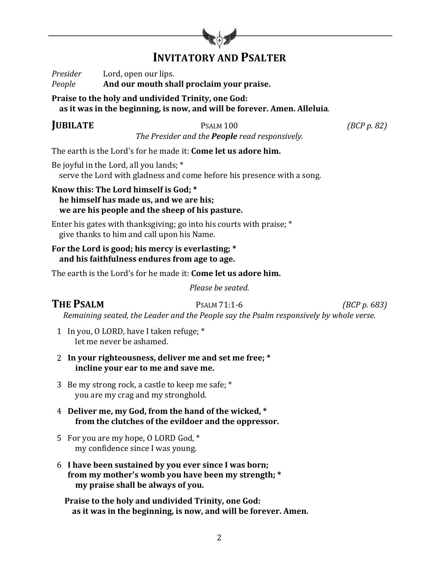

# **INVITATORY AND PSALTER**

*Presider* Lord, open our lips. *People* **And our mouth shall proclaim your praise.** 

### Praise to the holy and undivided Trinity, one God:

as it was in the beginning, is now, and will be forever. Amen. Alleluia.

### **JUBILATE** PSALM 100 *(BCP p.* 82)

*The Presider and the People read responsively.* 

The earth is the Lord's for he made it: **Come let us adore him.** 

Be joyful in the Lord, all you lands;  $*$ serve the Lord with gladness and come before his presence with a song.

Know this: The Lord himself is God; \* **he himself has made us, and we are his: we are his people and the sheep of his pasture.** 

Enter his gates with thanksgiving; go into his courts with praise;  $*$ give thanks to him and call upon his Name.

### For the Lord is good; his mercy is everlasting; \*  **and his faithfulness endures from age to age.**

The earth is the Lord's for he made it: **Come let us adore him.** 

*Please be seated.*

### **THE PSALM** PSALM 71:1-6 *(BCP p. 683)*

*Remaining seated, the Leader and the People say the Psalm responsively by whole verse.* 

- 1 In you, O LORD, have I taken refuge; \* let me never be ashamed.
- 2 In your righteousness, deliver me and set me free; \* **incline your ear to me and save me.**
- 3 Be my strong rock, a castle to keep me safe;  $*$ you are my crag and my stronghold.
- 4 Deliver me, my God, from the hand of the wicked, \* from the clutches of the evildoer and the oppressor.
- 5 For you are my hope, O LORD God, \* my confidence since I was young.
- 6 **I have been sustained by you ever since I was born;** from my mother's womb you have been my strength; \* **my** praise shall be always of you.

Praise to the holy and undivided Trinity, one God: as it was in the beginning, is now, and will be forever. Amen.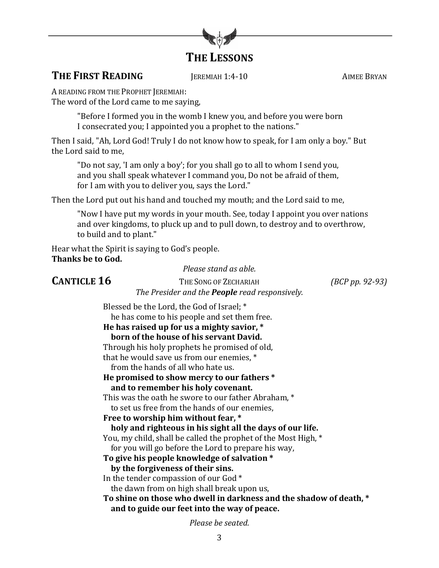

### **THE FIRST READING JEREMIAH 1:4-10** AIMEE BRYAN

A READING FROM THE PROPHET JEREMIAH:

The word of the Lord came to me saying,

"Before I formed you in the womb I knew you, and before you were born I consecrated you; I appointed you a prophet to the nations."

Then I said, "Ah, Lord God! Truly I do not know how to speak, for I am only a boy." But the Lord said to me.

"Do not say, 'I am only a boy'; for you shall go to all to whom I send you, and you shall speak whatever I command you, Do not be afraid of them, for I am with you to deliver you, says the Lord."

Then the Lord put out his hand and touched my mouth; and the Lord said to me,

"Now I have put my words in your mouth. See, today I appoint you over nations and over kingdoms, to pluck up and to pull down, to destroy and to overthrow, to build and to plant."

Hear what the Spirit is saying to God's people. **Thanks be to God.** 

*Please stand as able.*

**CANTICLE 16** THE SONG OF ZECHARIAH *(BCP pp. 92-93) The Presider and the People read responsively.* 

Blessed be the Lord, the God of Israel; \* he has come to his people and set them free. He has raised up for us a mighty savior,  $*$ **born of the house of his servant David.** 

Through his holy prophets he promised of old, that he would save us from our enemies,  $*$ 

from the hands of all who hate us.

### He promised to show mercy to our fathers \* and to remember his holy covenant.

This was the oath he swore to our father Abraham,  $*$ 

to set us free from the hands of our enemies.

Free to worship him without fear, \*

holy and righteous in his sight all the days of our life.

You, my child, shall be called the prophet of the Most High, \*

for you will go before the Lord to prepare his way,

To give his people knowledge of salvation \*

### by the forgiveness of their sins.

In the tender compassion of our God  $*$ 

the dawn from on high shall break upon us,

To shine on those who dwell in darkness and the shadow of death,  $*$ and to guide our feet into the way of peace.

*Please be seated.*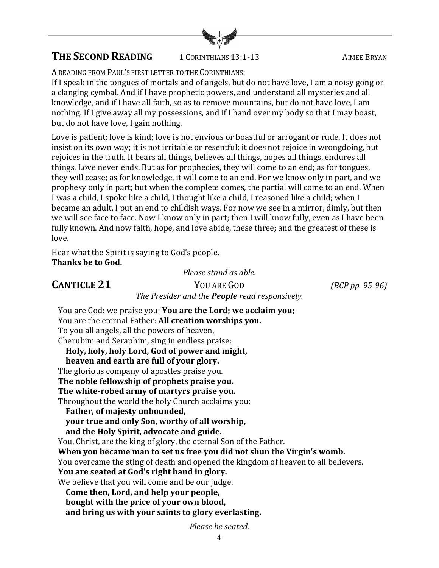

# **THE SECOND READING** 1 CORINTHIANS 13:1-13 AIMEE BRYAN

A READING FROM PAUL'S FIRST LETTER TO THE CORINTHIANS:

If I speak in the tongues of mortals and of angels, but do not have love, I am a noisy gong or a clanging cymbal. And if I have prophetic powers, and understand all mysteries and all knowledge, and if I have all faith, so as to remove mountains, but do not have love, I am nothing. If I give away all my possessions, and if I hand over my body so that I may boast, but do not have love, I gain nothing.

Love is patient; love is kind; love is not envious or boastful or arrogant or rude. It does not insist on its own way; it is not irritable or resentful; it does not rejoice in wrongdoing, but rejoices in the truth. It bears all things, believes all things, hopes all things, endures all things. Love never ends. But as for prophecies, they will come to an end; as for tongues, they will cease; as for knowledge, it will come to an end. For we know only in part, and we prophesy only in part; but when the complete comes, the partial will come to an end. When I was a child, I spoke like a child, I thought like a child, I reasoned like a child; when I became an adult, I put an end to childish ways. For now we see in a mirror, dimly, but then we will see face to face. Now I know only in part; then I will know fully, even as I have been fully known. And now faith, hope, and love abide, these three; and the greatest of these is love.

Hear what the Spirit is saying to God's people. **Thanks be to God.** 

*Please stand as able.*

**CANTICLE 21** YOU ARE GOD *(BCP pp. 95-96) The Presider and the People read responsively.* 

You are God: we praise you; You are the Lord; we acclaim you; You are the eternal Father: **All creation worships you.** To you all angels, all the powers of heaven, Cherubim and Seraphim, sing in endless praise: Holy, holy, holy Lord, God of power and might, heaven and earth are full of your glory. The glorious company of apostles praise you. The noble fellowship of prophets praise you. The white-robed army of martyrs praise you. Throughout the world the holy Church acclaims you; Father, of majesty unbounded, **your true and only Son, worthy of all worship,** and the Holy Spirit, advocate and guide. You, Christ, are the king of glory, the eternal Son of the Father. When you became man to set us free you did not shun the Virgin's womb. You overcame the sting of death and opened the kingdom of heaven to all believers. You are seated at God's right hand in glory. We believe that you will come and be our judge. Come then, Lord, and help your people, bought with the price of your own blood,

and bring us with your saints to glory everlasting.

*Please be seated.*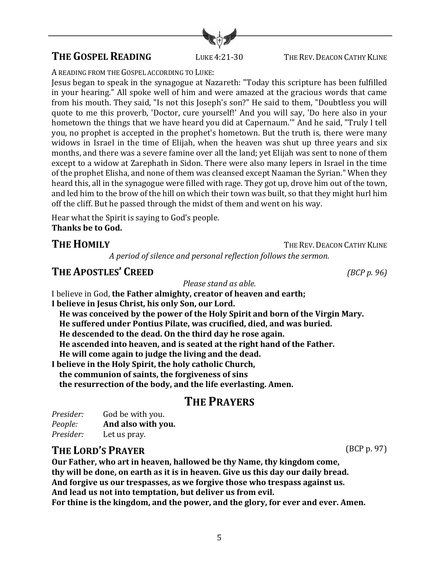## **THE GOSPEL READING** LUKE 4:21-30 THE REV. DEACON CATHY KLINE

A READING FROM THE GOSPEL ACCORDING TO LUKE:

Jesus began to speak in the synagogue at Nazareth: "Today this scripture has been fulfilled in your hearing." All spoke well of him and were amazed at the gracious words that came from his mouth. They said, "Is not this Joseph's son?" He said to them, "Doubtless you will quote to me this proverb, 'Doctor, cure yourself!' And you will say, 'Do here also in your hometown the things that we have heard you did at Capernaum." And he said, "Truly I tell you, no prophet is accepted in the prophet's hometown. But the truth is, there were many widows in Israel in the time of Elijah, when the heaven was shut up three years and six months, and there was a severe famine over all the land; yet Elijah was sent to none of them except to a widow at Zarephath in Sidon. There were also many lepers in Israel in the time of the prophet Elisha, and none of them was cleansed except Naaman the Syrian." When they heard this, all in the synagogue were filled with rage. They got up, drove him out of the town, and led him to the brow of the hill on which their town was built, so that they might hurl him off the cliff. But he passed through the midst of them and went on his way.

Hear what the Spirit is saying to God's people. Thanks be to God.

# **THE HOMILY** THE REV. DEACON CATHY KLINE

*A period of silence and personal reflection follows the sermon.*

### **THE APOSTLES' CREED** *(BCP p. 96)*

*Please stand as able.*

I believe in God, the Father almighty, creator of heaven and earth; I believe in Jesus Christ, his only Son, our Lord. He was conceived by the power of the Holy Spirit and born of the Virgin Mary. He suffered under Pontius Pilate, was crucified, died, and was buried.

He descended to the dead. On the third day he rose again.

**He ascended into heaven, and is seated at the right hand of the Father.** 

He will come again to judge the living and the dead.

I believe in the Holy Spirit, the holy catholic Church,

 **the communion of saints, the forgiveness of sins**

the resurrection of the body, and the life everlasting. Amen.

# **THE PRAYERS**

*Presider:* God be with you. *People:* **And also with you.** *Presider:* Let us pray.

# **THE LORD'S PRAYER** (BCP p. 97)

Our Father, who art in heaven, hallowed be thy Name, thy kingdom come, thy will be done, on earth as it is in heaven. Give us this day our daily bread. And forgive us our trespasses, as we forgive those who trespass against us. And lead us not into temptation, but deliver us from evil. For thine is the kingdom, and the power, and the glory, for ever and ever. Amen.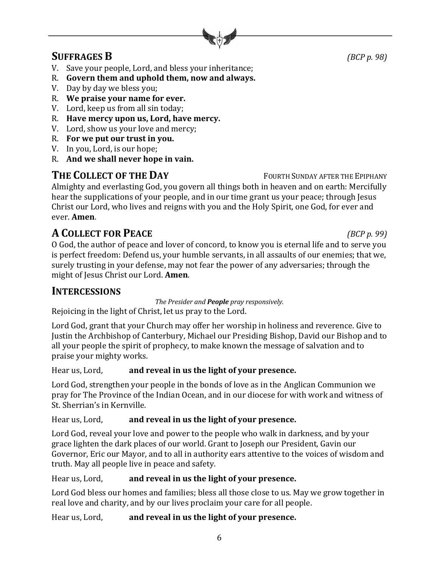

# **SUFFRAGES B** *(BCP p. 98)*

- V. Save your people, Lord, and bless your inheritance;
- R. Govern them and uphold them, now and always.
- V. Day by day we bless you;
- R. We praise your name for ever.
- V. Lord, keep us from all sin today;
- R. Have mercy upon us, Lord, have mercy.
- V. Lord, show us your love and mercy;
- R. For we put our trust in you.
- V. In you, Lord, is our hope;
- R. And we shall never hope in vain.

# **THE COLLECT OF THE DAY** FOURTH SUNDAY AFTER THE EPIPHANY

Almighty and everlasting God, you govern all things both in heaven and on earth: Mercifully hear the supplications of your people, and in our time grant us your peace; through Jesus Christ our Lord, who lives and reigns with you and the Holy Spirit, one God, for ever and ever. **Amen**.

# **A COLLECT** FOR **PEACE** *(BCP p.* 99)

O God, the author of peace and lover of concord, to know you is eternal life and to serve you is perfect freedom: Defend us, your humble servants, in all assaults of our enemies; that we, surely trusting in your defense, may not fear the power of any adversaries; through the might of Jesus Christ our Lord. **Amen.** 

# **INTERCESSIONS**

*The Presider and People pray responsively.* 

Rejoicing in the light of Christ, let us pray to the Lord.

Lord God, grant that your Church may offer her worship in holiness and reverence. Give to Justin the Archbishop of Canterbury, Michael our Presiding Bishop, David our Bishop and to all your people the spirit of prophecy, to make known the message of salvation and to praise your mighty works.

Hear us, Lord, **and reveal in us the light of your presence.** 

Lord God, strengthen your people in the bonds of love as in the Anglican Communion we pray for The Province of the Indian Ocean, and in our diocese for with work and witness of St. Sherrian's in Kernville.

### Hear us, Lord, **and reveal in us the light of your presence.**

Lord God, reveal your love and power to the people who walk in darkness, and by your grace lighten the dark places of our world. Grant to Joseph our President, Gavin our Governor, Eric our Mayor, and to all in authority ears attentive to the voices of wisdom and truth. May all people live in peace and safety.

### Hear us, Lord, **and reveal in us the light of your presence.**

Lord God bless our homes and families; bless all those close to us. May we grow together in real love and charity, and by our lives proclaim your care for all people.

6

Hear us, Lord, **and reveal in us the light of your presence.**